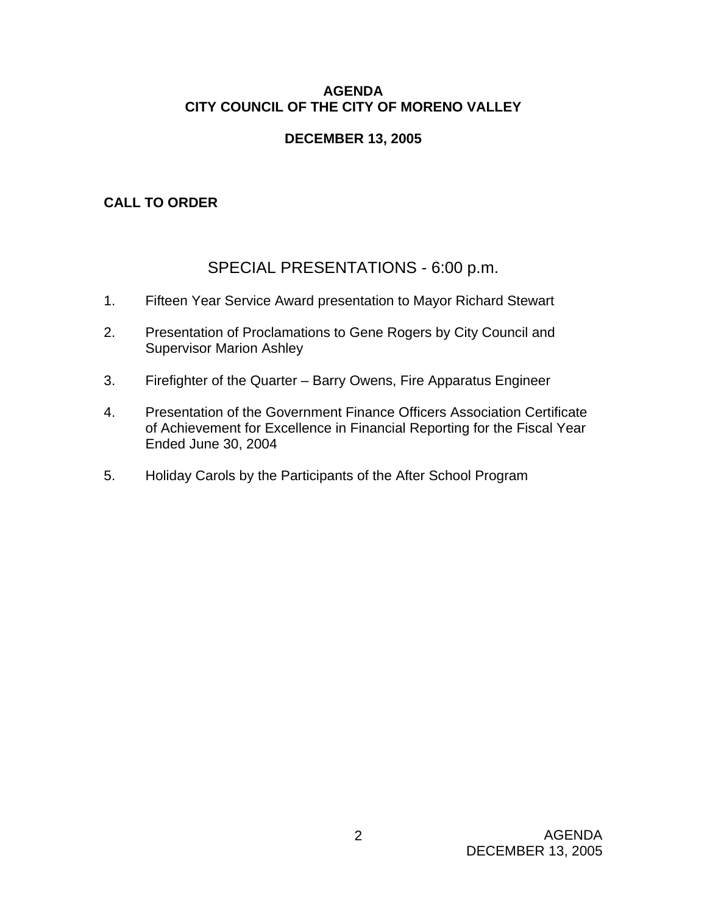## **AGENDA CITY COUNCIL OF THE CITY OF MORENO VALLEY**

# **DECEMBER 13, 2005**

# **CALL TO ORDER**

# SPECIAL PRESENTATIONS - 6:00 p.m.

- 1. Fifteen Year Service Award presentation to Mayor Richard Stewart
- 2. Presentation of Proclamations to Gene Rogers by City Council and Supervisor Marion Ashley
- 3. Firefighter of the Quarter Barry Owens, Fire Apparatus Engineer
- 4. Presentation of the Government Finance Officers Association Certificate of Achievement for Excellence in Financial Reporting for the Fiscal Year Ended June 30, 2004
- 5. Holiday Carols by the Participants of the After School Program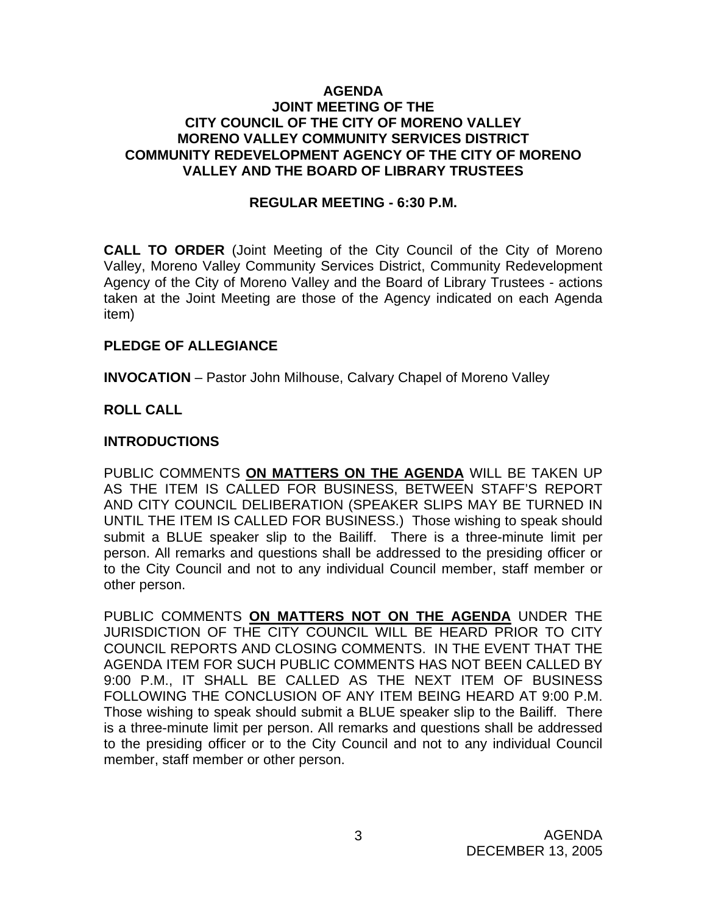### **AGENDA JOINT MEETING OF THE CITY COUNCIL OF THE CITY OF MORENO VALLEY MORENO VALLEY COMMUNITY SERVICES DISTRICT COMMUNITY REDEVELOPMENT AGENCY OF THE CITY OF MORENO VALLEY AND THE BOARD OF LIBRARY TRUSTEES**

### **REGULAR MEETING - 6:30 P.M.**

**CALL TO ORDER** (Joint Meeting of the City Council of the City of Moreno Valley, Moreno Valley Community Services District, Community Redevelopment Agency of the City of Moreno Valley and the Board of Library Trustees - actions taken at the Joint Meeting are those of the Agency indicated on each Agenda item)

#### **PLEDGE OF ALLEGIANCE**

**INVOCATION** – Pastor John Milhouse, Calvary Chapel of Moreno Valley

### **ROLL CALL**

### **INTRODUCTIONS**

PUBLIC COMMENTS **ON MATTERS ON THE AGENDA** WILL BE TAKEN UP AS THE ITEM IS CALLED FOR BUSINESS, BETWEEN STAFF'S REPORT AND CITY COUNCIL DELIBERATION (SPEAKER SLIPS MAY BE TURNED IN UNTIL THE ITEM IS CALLED FOR BUSINESS.) Those wishing to speak should submit a BLUE speaker slip to the Bailiff. There is a three-minute limit per person. All remarks and questions shall be addressed to the presiding officer or to the City Council and not to any individual Council member, staff member or other person.

PUBLIC COMMENTS **ON MATTERS NOT ON THE AGENDA** UNDER THE JURISDICTION OF THE CITY COUNCIL WILL BE HEARD PRIOR TO CITY COUNCIL REPORTS AND CLOSING COMMENTS. IN THE EVENT THAT THE AGENDA ITEM FOR SUCH PUBLIC COMMENTS HAS NOT BEEN CALLED BY 9:00 P.M., IT SHALL BE CALLED AS THE NEXT ITEM OF BUSINESS FOLLOWING THE CONCLUSION OF ANY ITEM BEING HEARD AT 9:00 P.M. Those wishing to speak should submit a BLUE speaker slip to the Bailiff. There is a three-minute limit per person. All remarks and questions shall be addressed to the presiding officer or to the City Council and not to any individual Council member, staff member or other person.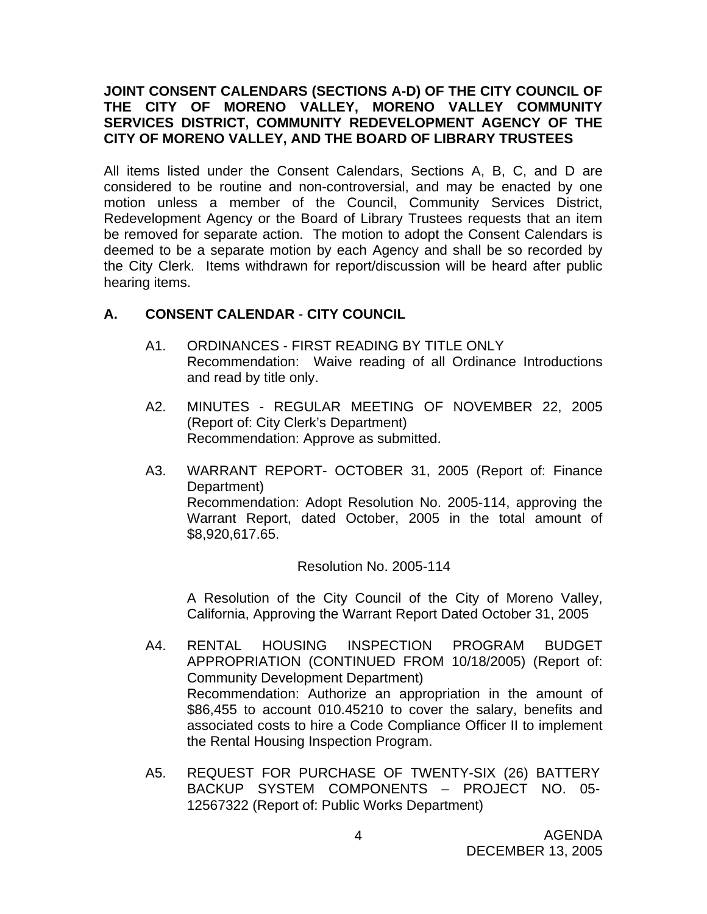### **JOINT CONSENT CALENDARS (SECTIONS A-D) OF THE CITY COUNCIL OF THE CITY OF MORENO VALLEY, MORENO VALLEY COMMUNITY SERVICES DISTRICT, COMMUNITY REDEVELOPMENT AGENCY OF THE CITY OF MORENO VALLEY, AND THE BOARD OF LIBRARY TRUSTEES**

All items listed under the Consent Calendars, Sections A, B, C, and D are considered to be routine and non-controversial, and may be enacted by one motion unless a member of the Council, Community Services District, Redevelopment Agency or the Board of Library Trustees requests that an item be removed for separate action. The motion to adopt the Consent Calendars is deemed to be a separate motion by each Agency and shall be so recorded by the City Clerk. Items withdrawn for report/discussion will be heard after public hearing items.

## **A. CONSENT CALENDAR** - **CITY COUNCIL**

- A1. ORDINANCES FIRST READING BY TITLE ONLY Recommendation: Waive reading of all Ordinance Introductions and read by title only.
- A2. MINUTES REGULAR MEETING OF NOVEMBER 22, 2005 (Report of: City Clerk's Department) Recommendation: Approve as submitted.
- A3. WARRANT REPORT- OCTOBER 31, 2005 (Report of: Finance Department) Recommendation: Adopt Resolution No. 2005-114, approving the Warrant Report, dated October, 2005 in the total amount of \$8,920,617.65.

Resolution No. 2005-114

A Resolution of the City Council of the City of Moreno Valley, California, Approving the Warrant Report Dated October 31, 2005

- A4. RENTAL HOUSING INSPECTION PROGRAM BUDGET APPROPRIATION (CONTINUED FROM 10/18/2005) (Report of: Community Development Department) Recommendation: Authorize an appropriation in the amount of \$86,455 to account 010.45210 to cover the salary, benefits and associated costs to hire a Code Compliance Officer II to implement the Rental Housing Inspection Program.
- A5. REQUEST FOR PURCHASE OF TWENTY-SIX (26) BATTERY BACKUP SYSTEM COMPONENTS – PROJECT NO. 05- 12567322 (Report of: Public Works Department)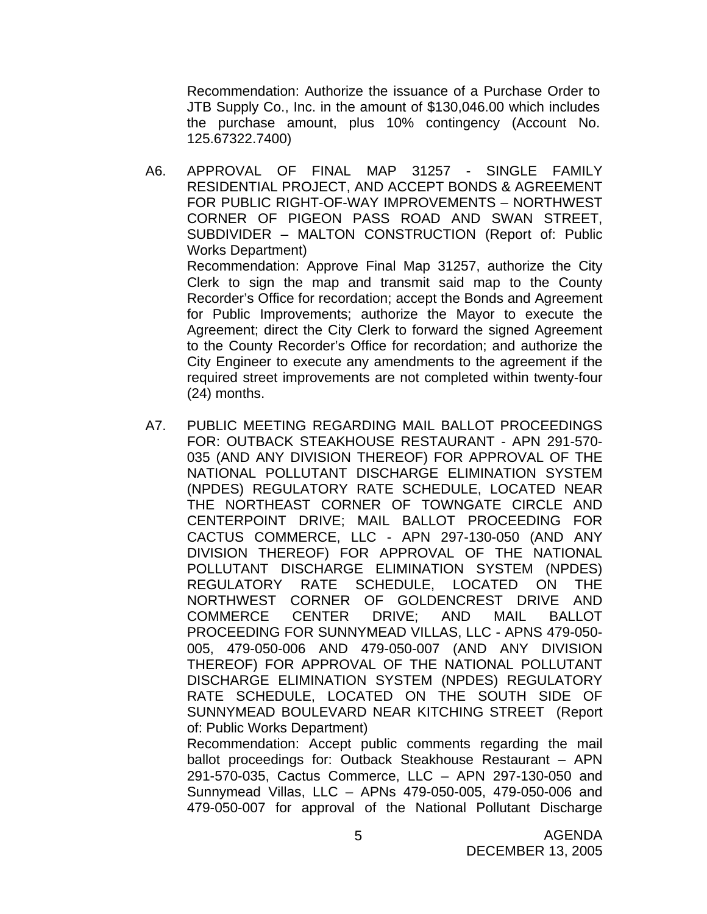Recommendation: Authorize the issuance of a Purchase Order to JTB Supply Co., Inc. in the amount of \$130,046.00 which includes the purchase amount, plus 10% contingency (Account No. 125.67322.7400)

- A6. APPROVAL OF FINAL MAP 31257 SINGLE FAMILY RESIDENTIAL PROJECT, AND ACCEPT BONDS & AGREEMENT FOR PUBLIC RIGHT-OF-WAY IMPROVEMENTS – NORTHWEST CORNER OF PIGEON PASS ROAD AND SWAN STREET, SUBDIVIDER – MALTON CONSTRUCTION (Report of: Public Works Department) Recommendation: Approve Final Map 31257, authorize the City Clerk to sign the map and transmit said map to the County Recorder's Office for recordation; accept the Bonds and Agreement for Public Improvements; authorize the Mayor to execute the Agreement; direct the City Clerk to forward the signed Agreement to the County Recorder's Office for recordation; and authorize the City Engineer to execute any amendments to the agreement if the required street improvements are not completed within twenty-four (24) months.
- A7. PUBLIC MEETING REGARDING MAIL BALLOT PROCEEDINGS FOR: OUTBACK STEAKHOUSE RESTAURANT - APN 291-570- 035 (AND ANY DIVISION THEREOF) FOR APPROVAL OF THE NATIONAL POLLUTANT DISCHARGE ELIMINATION SYSTEM (NPDES) REGULATORY RATE SCHEDULE, LOCATED NEAR THE NORTHEAST CORNER OF TOWNGATE CIRCLE AND CENTERPOINT DRIVE; MAIL BALLOT PROCEEDING FOR CACTUS COMMERCE, LLC - APN 297-130-050 (AND ANY DIVISION THEREOF) FOR APPROVAL OF THE NATIONAL POLLUTANT DISCHARGE ELIMINATION SYSTEM (NPDES) REGULATORY RATE SCHEDULE, LOCATED ON THE NORTHWEST CORNER OF GOLDENCREST DRIVE AND COMMERCE CENTER DRIVE; AND MAIL BALLOT PROCEEDING FOR SUNNYMEAD VILLAS, LLC - APNS 479-050- 005, 479-050-006 AND 479-050-007 (AND ANY DIVISION THEREOF) FOR APPROVAL OF THE NATIONAL POLLUTANT DISCHARGE ELIMINATION SYSTEM (NPDES) REGULATORY RATE SCHEDULE, LOCATED ON THE SOUTH SIDE OF SUNNYMEAD BOULEVARD NEAR KITCHING STREET (Report of: Public Works Department)

Recommendation: Accept public comments regarding the mail ballot proceedings for: Outback Steakhouse Restaurant – APN 291-570-035, Cactus Commerce, LLC – APN 297-130-050 and Sunnymead Villas, LLC – APNs 479-050-005, 479-050-006 and 479-050-007 for approval of the National Pollutant Discharge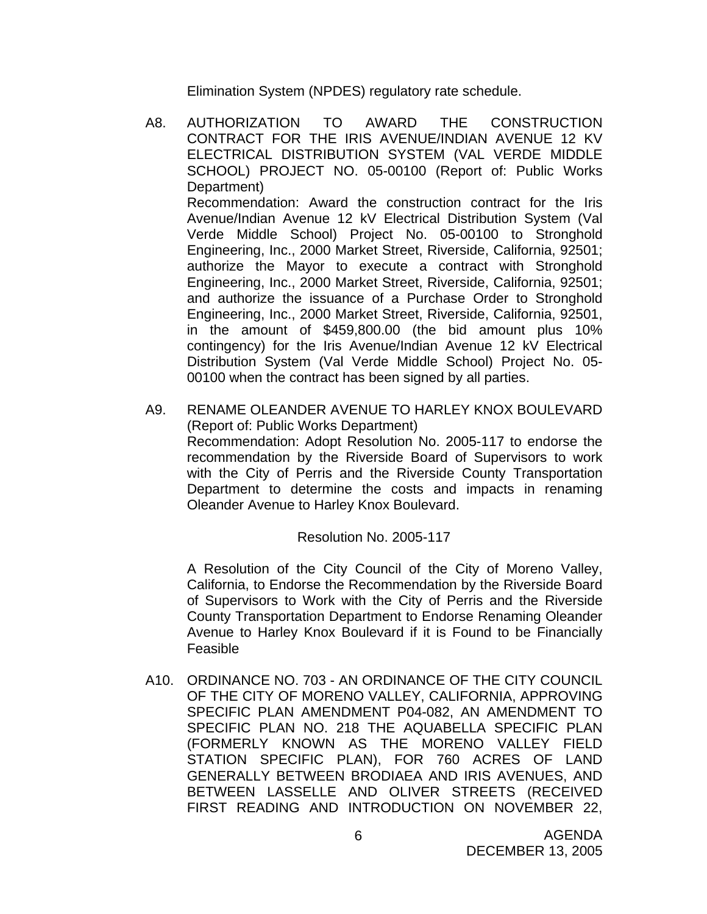Elimination System (NPDES) regulatory rate schedule.

- A8. AUTHORIZATION TO AWARD THE CONSTRUCTION CONTRACT FOR THE IRIS AVENUE/INDIAN AVENUE 12 KV ELECTRICAL DISTRIBUTION SYSTEM (VAL VERDE MIDDLE SCHOOL) PROJECT NO. 05-00100 (Report of: Public Works Department) Recommendation: Award the construction contract for the Iris Avenue/Indian Avenue 12 kV Electrical Distribution System (Val Verde Middle School) Project No. 05-00100 to Stronghold Engineering, Inc., 2000 Market Street, Riverside, California, 92501; authorize the Mayor to execute a contract with Stronghold Engineering, Inc., 2000 Market Street, Riverside, California, 92501; and authorize the issuance of a Purchase Order to Stronghold Engineering, Inc., 2000 Market Street, Riverside, California, 92501, in the amount of \$459,800.00 (the bid amount plus 10% contingency) for the Iris Avenue/Indian Avenue 12 kV Electrical Distribution System (Val Verde Middle School) Project No. 05- 00100 when the contract has been signed by all parties.
- A9. RENAME OLEANDER AVENUE TO HARLEY KNOX BOULEVARD (Report of: Public Works Department) Recommendation: Adopt Resolution No. 2005-117 to endorse the recommendation by the Riverside Board of Supervisors to work with the City of Perris and the Riverside County Transportation Department to determine the costs and impacts in renaming Oleander Avenue to Harley Knox Boulevard.

### Resolution No. 2005-117

A Resolution of the City Council of the City of Moreno Valley, California, to Endorse the Recommendation by the Riverside Board of Supervisors to Work with the City of Perris and the Riverside County Transportation Department to Endorse Renaming Oleander Avenue to Harley Knox Boulevard if it is Found to be Financially Feasible

A10. ORDINANCE NO. 703 - AN ORDINANCE OF THE CITY COUNCIL OF THE CITY OF MORENO VALLEY, CALIFORNIA, APPROVING SPECIFIC PLAN AMENDMENT P04-082, AN AMENDMENT TO SPECIFIC PLAN NO. 218 THE AQUABELLA SPECIFIC PLAN (FORMERLY KNOWN AS THE MORENO VALLEY FIELD STATION SPECIFIC PLAN), FOR 760 ACRES OF LAND GENERALLY BETWEEN BRODIAEA AND IRIS AVENUES, AND BETWEEN LASSELLE AND OLIVER STREETS (RECEIVED FIRST READING AND INTRODUCTION ON NOVEMBER 22,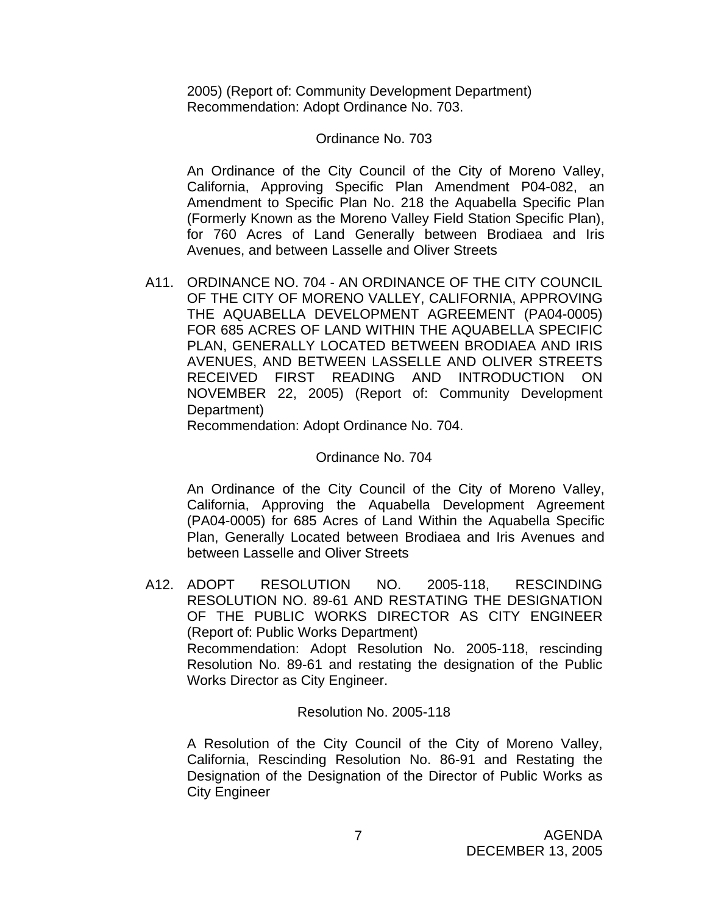2005) (Report of: Community Development Department) Recommendation: Adopt Ordinance No. 703.

### Ordinance No. 703

An Ordinance of the City Council of the City of Moreno Valley, California, Approving Specific Plan Amendment P04-082, an Amendment to Specific Plan No. 218 the Aquabella Specific Plan (Formerly Known as the Moreno Valley Field Station Specific Plan), for 760 Acres of Land Generally between Brodiaea and Iris Avenues, and between Lasselle and Oliver Streets

A11. ORDINANCE NO. 704 - AN ORDINANCE OF THE CITY COUNCIL OF THE CITY OF MORENO VALLEY, CALIFORNIA, APPROVING THE AQUABELLA DEVELOPMENT AGREEMENT (PA04-0005) FOR 685 ACRES OF LAND WITHIN THE AQUABELLA SPECIFIC PLAN, GENERALLY LOCATED BETWEEN BRODIAEA AND IRIS AVENUES, AND BETWEEN LASSELLE AND OLIVER STREETS RECEIVED FIRST READING AND INTRODUCTION ON NOVEMBER 22, 2005) (Report of: Community Development Department)

Recommendation: Adopt Ordinance No. 704.

#### Ordinance No. 704

An Ordinance of the City Council of the City of Moreno Valley, California, Approving the Aquabella Development Agreement (PA04-0005) for 685 Acres of Land Within the Aquabella Specific Plan, Generally Located between Brodiaea and Iris Avenues and between Lasselle and Oliver Streets

A12. ADOPT RESOLUTION NO. 2005-118, RESCINDING RESOLUTION NO. 89-61 AND RESTATING THE DESIGNATION OF THE PUBLIC WORKS DIRECTOR AS CITY ENGINEER (Report of: Public Works Department) Recommendation: Adopt Resolution No. 2005-118, rescinding Resolution No. 89-61 and restating the designation of the Public Works Director as City Engineer.

### Resolution No. 2005-118

A Resolution of the City Council of the City of Moreno Valley, California, Rescinding Resolution No. 86-91 and Restating the Designation of the Designation of the Director of Public Works as City Engineer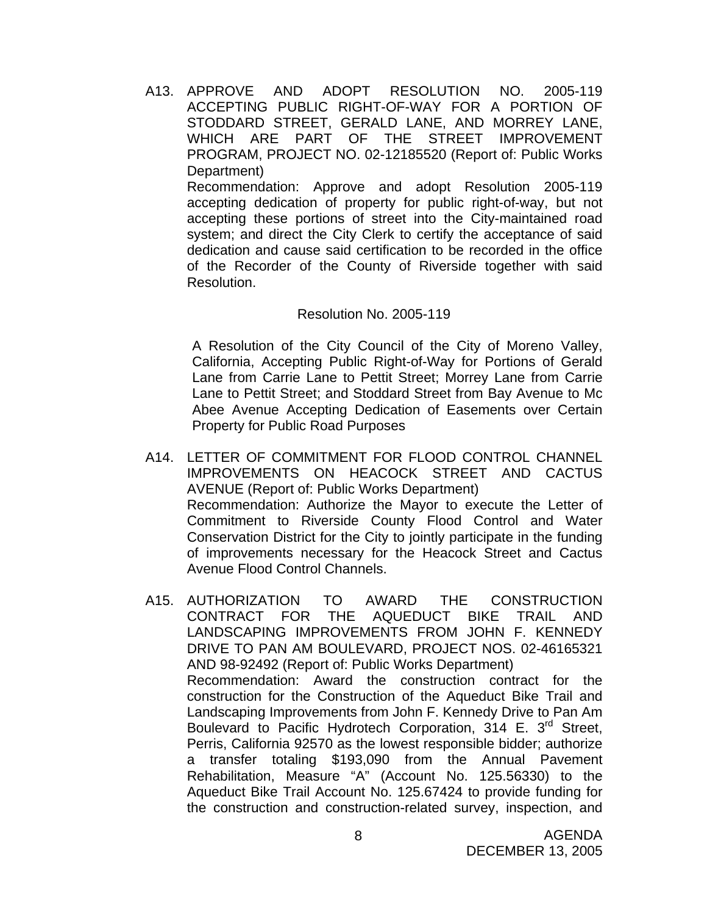A13. APPROVE AND ADOPT RESOLUTION NO. 2005-119 ACCEPTING PUBLIC RIGHT-OF-WAY FOR A PORTION OF STODDARD STREET, GERALD LANE, AND MORREY LANE, WHICH ARE PART OF THE STREET IMPROVEMENT PROGRAM, PROJECT NO. 02-12185520 (Report of: Public Works Department)

 Recommendation: Approve and adopt Resolution 2005-119 accepting dedication of property for public right-of-way, but not accepting these portions of street into the City-maintained road system; and direct the City Clerk to certify the acceptance of said dedication and cause said certification to be recorded in the office of the Recorder of the County of Riverside together with said Resolution.

### Resolution No. 2005-119

A Resolution of the City Council of the City of Moreno Valley, California, Accepting Public Right-of-Way for Portions of Gerald Lane from Carrie Lane to Pettit Street; Morrey Lane from Carrie Lane to Pettit Street; and Stoddard Street from Bay Avenue to Mc Abee Avenue Accepting Dedication of Easements over Certain Property for Public Road Purposes

- A14. LETTER OF COMMITMENT FOR FLOOD CONTROL CHANNEL IMPROVEMENTS ON HEACOCK STREET AND CACTUS AVENUE (Report of: Public Works Department) Recommendation: Authorize the Mayor to execute the Letter of Commitment to Riverside County Flood Control and Water Conservation District for the City to jointly participate in the funding of improvements necessary for the Heacock Street and Cactus Avenue Flood Control Channels.
- A15. AUTHORIZATION TO AWARD THE CONSTRUCTION CONTRACT FOR THE AQUEDUCT BIKE TRAIL AND LANDSCAPING IMPROVEMENTS FROM JOHN F. KENNEDY DRIVE TO PAN AM BOULEVARD, PROJECT NOS. 02-46165321 AND 98-92492 (Report of: Public Works Department) Recommendation: Award the construction contract for the construction for the Construction of the Aqueduct Bike Trail and Landscaping Improvements from John F. Kennedy Drive to Pan Am Boulevard to Pacific Hydrotech Corporation, 314 E. 3<sup>rd</sup> Street, Perris, California 92570 as the lowest responsible bidder; authorize a transfer totaling \$193,090 from the Annual Pavement Rehabilitation, Measure "A" (Account No. 125.56330) to the Aqueduct Bike Trail Account No. 125.67424 to provide funding for the construction and construction-related survey, inspection, and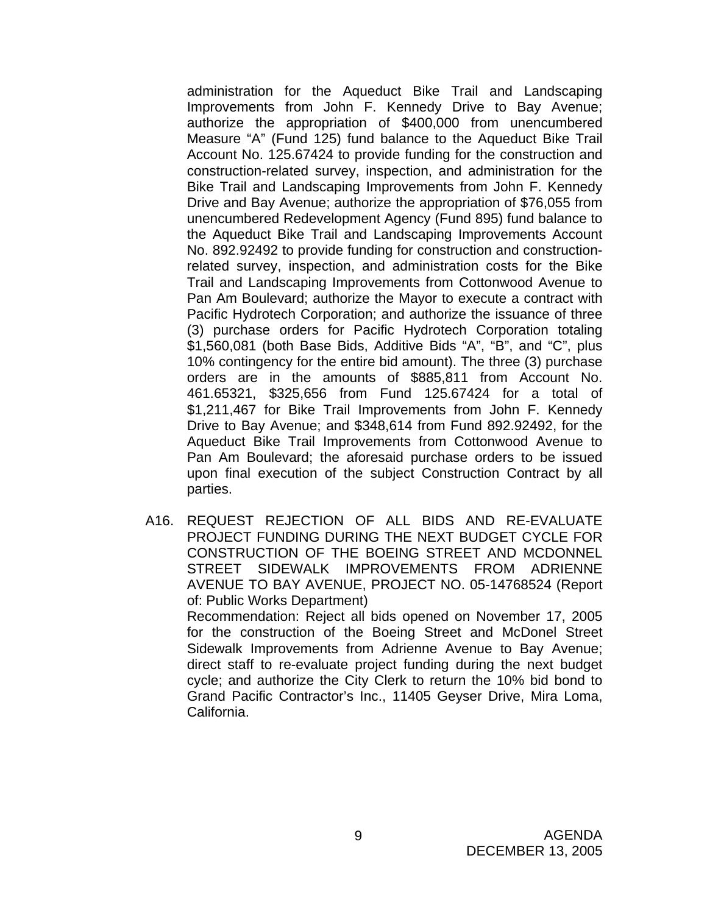administration for the Aqueduct Bike Trail and Landscaping Improvements from John F. Kennedy Drive to Bay Avenue; authorize the appropriation of \$400,000 from unencumbered Measure "A" (Fund 125) fund balance to the Aqueduct Bike Trail Account No. 125.67424 to provide funding for the construction and construction-related survey, inspection, and administration for the Bike Trail and Landscaping Improvements from John F. Kennedy Drive and Bay Avenue; authorize the appropriation of \$76,055 from unencumbered Redevelopment Agency (Fund 895) fund balance to the Aqueduct Bike Trail and Landscaping Improvements Account No. 892.92492 to provide funding for construction and constructionrelated survey, inspection, and administration costs for the Bike Trail and Landscaping Improvements from Cottonwood Avenue to Pan Am Boulevard; authorize the Mayor to execute a contract with Pacific Hydrotech Corporation; and authorize the issuance of three (3) purchase orders for Pacific Hydrotech Corporation totaling \$1,560,081 (both Base Bids, Additive Bids "A", "B", and "C", plus 10% contingency for the entire bid amount). The three (3) purchase orders are in the amounts of \$885,811 from Account No. 461.65321, \$325,656 from Fund 125.67424 for a total of \$1,211,467 for Bike Trail Improvements from John F. Kennedy Drive to Bay Avenue; and \$348,614 from Fund 892.92492, for the Aqueduct Bike Trail Improvements from Cottonwood Avenue to Pan Am Boulevard; the aforesaid purchase orders to be issued upon final execution of the subject Construction Contract by all parties.

A16. REQUEST REJECTION OF ALL BIDS AND RE-EVALUATE PROJECT FUNDING DURING THE NEXT BUDGET CYCLE FOR CONSTRUCTION OF THE BOEING STREET AND MCDONNEL STREET SIDEWALK IMPROVEMENTS FROM ADRIENNE AVENUE TO BAY AVENUE, PROJECT NO. 05-14768524 (Report of: Public Works Department) Recommendation: Reject all bids opened on November 17, 2005

for the construction of the Boeing Street and McDonel Street Sidewalk Improvements from Adrienne Avenue to Bay Avenue; direct staff to re-evaluate project funding during the next budget cycle; and authorize the City Clerk to return the 10% bid bond to Grand Pacific Contractor's Inc., 11405 Geyser Drive, Mira Loma, California.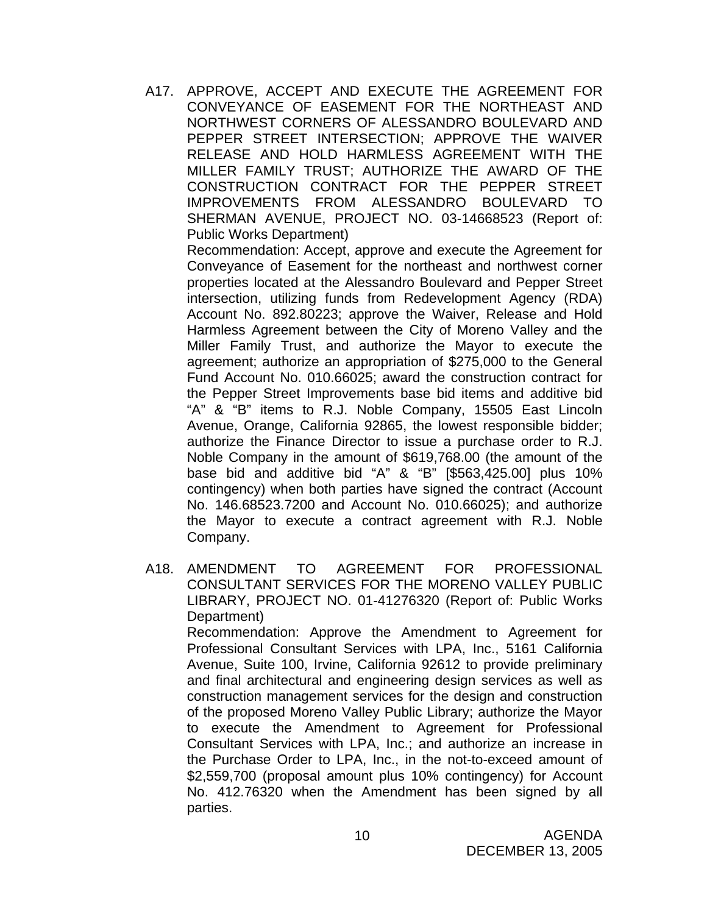A17. APPROVE, ACCEPT AND EXECUTE THE AGREEMENT FOR CONVEYANCE OF EASEMENT FOR THE NORTHEAST AND NORTHWEST CORNERS OF ALESSANDRO BOULEVARD AND PEPPER STREET INTERSECTION; APPROVE THE WAIVER RELEASE AND HOLD HARMLESS AGREEMENT WITH THE MILLER FAMILY TRUST; AUTHORIZE THE AWARD OF THE CONSTRUCTION CONTRACT FOR THE PEPPER STREET IMPROVEMENTS FROM ALESSANDRO BOULEVARD TO SHERMAN AVENUE, PROJECT NO. 03-14668523 (Report of: Public Works Department)

 Recommendation: Accept, approve and execute the Agreement for Conveyance of Easement for the northeast and northwest corner properties located at the Alessandro Boulevard and Pepper Street intersection, utilizing funds from Redevelopment Agency (RDA) Account No. 892.80223; approve the Waiver, Release and Hold Harmless Agreement between the City of Moreno Valley and the Miller Family Trust, and authorize the Mayor to execute the agreement; authorize an appropriation of \$275,000 to the General Fund Account No. 010.66025; award the construction contract for the Pepper Street Improvements base bid items and additive bid "A" & "B" items to R.J. Noble Company, 15505 East Lincoln Avenue, Orange, California 92865, the lowest responsible bidder; authorize the Finance Director to issue a purchase order to R.J. Noble Company in the amount of \$619,768.00 (the amount of the base bid and additive bid "A" & "B" [\$563,425.00] plus 10% contingency) when both parties have signed the contract (Account No. 146.68523.7200 and Account No. 010.66025); and authorize the Mayor to execute a contract agreement with R.J. Noble Company.

A18. AMENDMENT TO AGREEMENT FOR PROFESSIONAL CONSULTANT SERVICES FOR THE MORENO VALLEY PUBLIC LIBRARY, PROJECT NO. 01-41276320 (Report of: Public Works Department)

 Recommendation: Approve the Amendment to Agreement for Professional Consultant Services with LPA, Inc., 5161 California Avenue, Suite 100, Irvine, California 92612 to provide preliminary and final architectural and engineering design services as well as construction management services for the design and construction of the proposed Moreno Valley Public Library; authorize the Mayor to execute the Amendment to Agreement for Professional Consultant Services with LPA, Inc.; and authorize an increase in the Purchase Order to LPA, Inc., in the not-to-exceed amount of \$2,559,700 (proposal amount plus 10% contingency) for Account No. 412.76320 when the Amendment has been signed by all parties.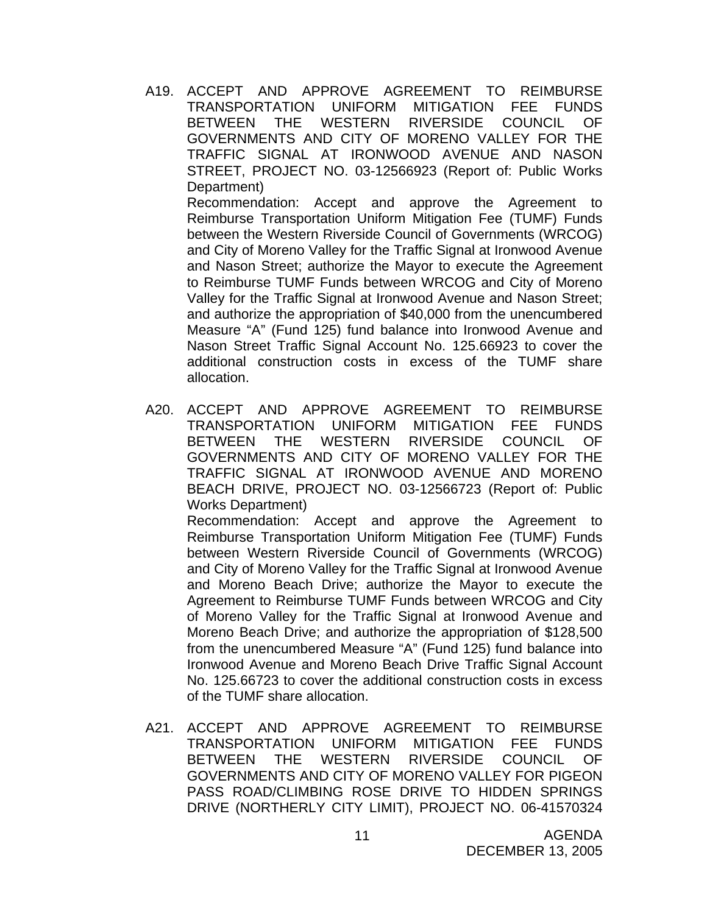A19. ACCEPT AND APPROVE AGREEMENT TO REIMBURSE TRANSPORTATION UNIFORM MITIGATION FEE FUNDS BETWEEN THE WESTERN RIVERSIDE COUNCIL OF GOVERNMENTS AND CITY OF MORENO VALLEY FOR THE TRAFFIC SIGNAL AT IRONWOOD AVENUE AND NASON STREET, PROJECT NO. 03-12566923 (Report of: Public Works Department)

 Recommendation: Accept and approve the Agreement to Reimburse Transportation Uniform Mitigation Fee (TUMF) Funds between the Western Riverside Council of Governments (WRCOG) and City of Moreno Valley for the Traffic Signal at Ironwood Avenue and Nason Street; authorize the Mayor to execute the Agreement to Reimburse TUMF Funds between WRCOG and City of Moreno Valley for the Traffic Signal at Ironwood Avenue and Nason Street; and authorize the appropriation of \$40,000 from the unencumbered Measure "A" (Fund 125) fund balance into Ironwood Avenue and Nason Street Traffic Signal Account No. 125.66923 to cover the additional construction costs in excess of the TUMF share allocation.

A20. ACCEPT AND APPROVE AGREEMENT TO REIMBURSE TRANSPORTATION UNIFORM MITIGATION FEE FUNDS BETWEEN THE WESTERN RIVERSIDE COUNCIL OF GOVERNMENTS AND CITY OF MORENO VALLEY FOR THE TRAFFIC SIGNAL AT IRONWOOD AVENUE AND MORENO BEACH DRIVE, PROJECT NO. 03-12566723 (Report of: Public Works Department)

 Recommendation: Accept and approve the Agreement to Reimburse Transportation Uniform Mitigation Fee (TUMF) Funds between Western Riverside Council of Governments (WRCOG) and City of Moreno Valley for the Traffic Signal at Ironwood Avenue and Moreno Beach Drive; authorize the Mayor to execute the Agreement to Reimburse TUMF Funds between WRCOG and City of Moreno Valley for the Traffic Signal at Ironwood Avenue and Moreno Beach Drive; and authorize the appropriation of \$128,500 from the unencumbered Measure "A" (Fund 125) fund balance into Ironwood Avenue and Moreno Beach Drive Traffic Signal Account No. 125.66723 to cover the additional construction costs in excess of the TUMF share allocation.

A21. ACCEPT AND APPROVE AGREEMENT TO REIMBURSE TRANSPORTATION UNIFORM MITIGATION FEE FUNDS BETWEEN THE WESTERN RIVERSIDE COUNCIL OF GOVERNMENTS AND CITY OF MORENO VALLEY FOR PIGEON PASS ROAD/CLIMBING ROSE DRIVE TO HIDDEN SPRINGS DRIVE (NORTHERLY CITY LIMIT), PROJECT NO. 06-41570324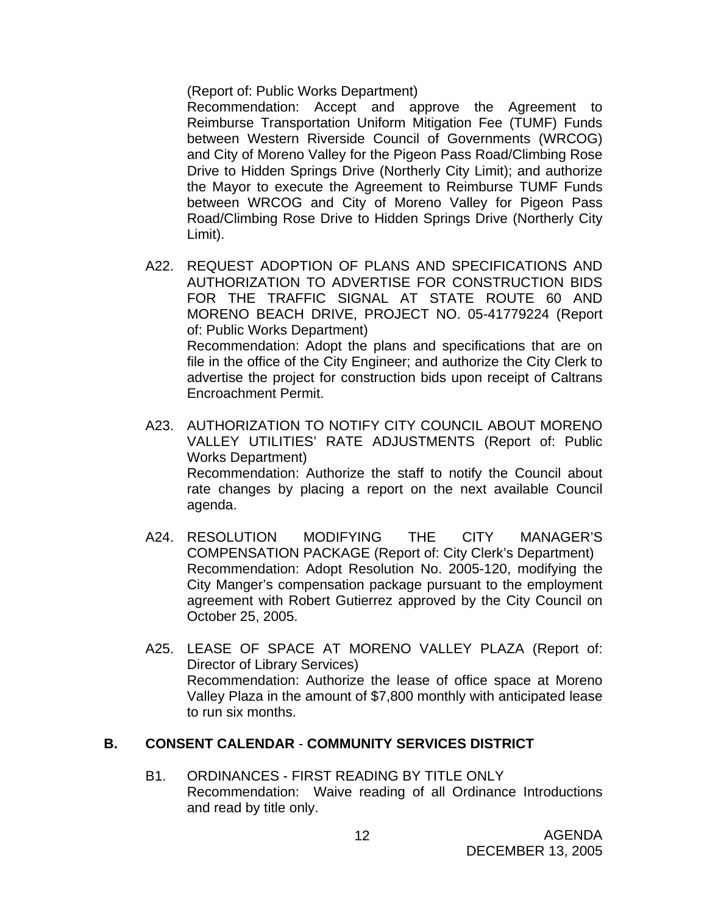(Report of: Public Works Department)

 Recommendation: Accept and approve the Agreement to Reimburse Transportation Uniform Mitigation Fee (TUMF) Funds between Western Riverside Council of Governments (WRCOG) and City of Moreno Valley for the Pigeon Pass Road/Climbing Rose Drive to Hidden Springs Drive (Northerly City Limit); and authorize the Mayor to execute the Agreement to Reimburse TUMF Funds between WRCOG and City of Moreno Valley for Pigeon Pass Road/Climbing Rose Drive to Hidden Springs Drive (Northerly City Limit).

- A22. REQUEST ADOPTION OF PLANS AND SPECIFICATIONS AND AUTHORIZATION TO ADVERTISE FOR CONSTRUCTION BIDS FOR THE TRAFFIC SIGNAL AT STATE ROUTE 60 AND MORENO BEACH DRIVE, PROJECT NO. 05-41779224 (Report of: Public Works Department) Recommendation: Adopt the plans and specifications that are on file in the office of the City Engineer; and authorize the City Clerk to advertise the project for construction bids upon receipt of Caltrans Encroachment Permit.
- A23. AUTHORIZATION TO NOTIFY CITY COUNCIL ABOUT MORENO VALLEY UTILITIES' RATE ADJUSTMENTS (Report of: Public Works Department) Recommendation: Authorize the staff to notify the Council about rate changes by placing a report on the next available Council agenda.
- A24. RESOLUTION MODIFYING THE CITY MANAGER'S COMPENSATION PACKAGE (Report of: City Clerk's Department) Recommendation: Adopt Resolution No. 2005-120, modifying the City Manger's compensation package pursuant to the employment agreement with Robert Gutierrez approved by the City Council on October 25, 2005.
- A25. LEASE OF SPACE AT MORENO VALLEY PLAZA (Report of: Director of Library Services) Recommendation: Authorize the lease of office space at Moreno Valley Plaza in the amount of \$7,800 monthly with anticipated lease to run six months.

### **B. CONSENT CALENDAR** - **COMMUNITY SERVICES DISTRICT**

B1. ORDINANCES - FIRST READING BY TITLE ONLY Recommendation: Waive reading of all Ordinance Introductions and read by title only.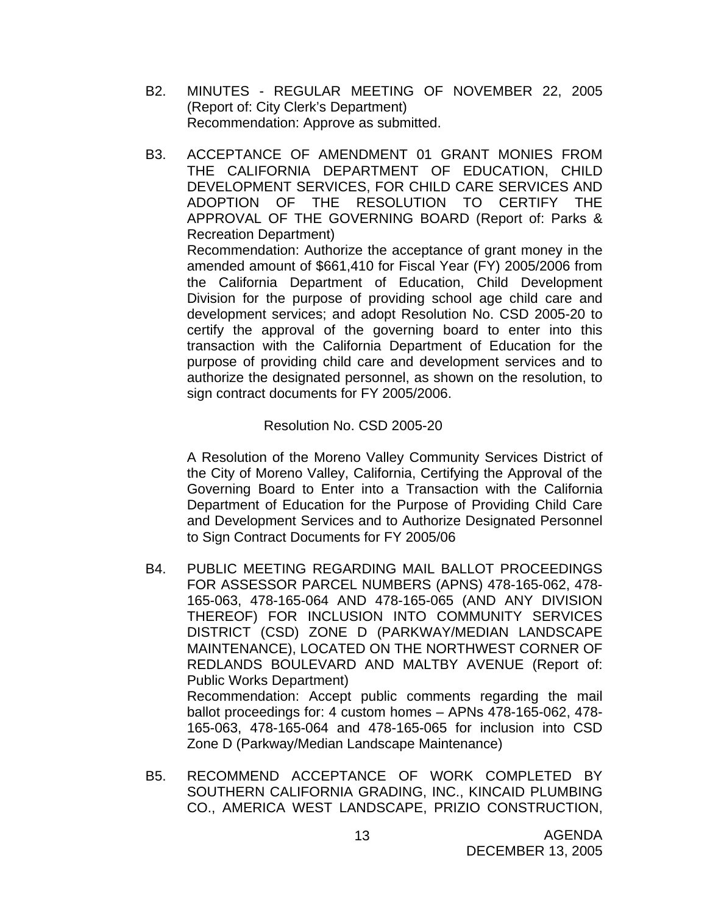- B2. MINUTES REGULAR MEETING OF NOVEMBER 22, 2005 (Report of: City Clerk's Department) Recommendation: Approve as submitted.
- B3. ACCEPTANCE OF AMENDMENT 01 GRANT MONIES FROM THE CALIFORNIA DEPARTMENT OF EDUCATION, CHILD DEVELOPMENT SERVICES, FOR CHILD CARE SERVICES AND ADOPTION OF THE RESOLUTION TO CERTIFY THE APPROVAL OF THE GOVERNING BOARD (Report of: Parks & Recreation Department)

Recommendation: Authorize the acceptance of grant money in the amended amount of \$661,410 for Fiscal Year (FY) 2005/2006 from the California Department of Education, Child Development Division for the purpose of providing school age child care and development services; and adopt Resolution No. CSD 2005-20 to certify the approval of the governing board to enter into this transaction with the California Department of Education for the purpose of providing child care and development services and to authorize the designated personnel, as shown on the resolution, to sign contract documents for FY 2005/2006.

### Resolution No. CSD 2005-20

 A Resolution of the Moreno Valley Community Services District of the City of Moreno Valley, California, Certifying the Approval of the Governing Board to Enter into a Transaction with the California Department of Education for the Purpose of Providing Child Care and Development Services and to Authorize Designated Personnel to Sign Contract Documents for FY 2005/06

B4. PUBLIC MEETING REGARDING MAIL BALLOT PROCEEDINGS FOR ASSESSOR PARCEL NUMBERS (APNS) 478-165-062, 478- 165-063, 478-165-064 AND 478-165-065 (AND ANY DIVISION THEREOF) FOR INCLUSION INTO COMMUNITY SERVICES DISTRICT (CSD) ZONE D (PARKWAY/MEDIAN LANDSCAPE MAINTENANCE), LOCATED ON THE NORTHWEST CORNER OF REDLANDS BOULEVARD AND MALTBY AVENUE (Report of: Public Works Department) Recommendation: Accept public comments regarding the mail ballot proceedings for: 4 custom homes – APNs 478-165-062, 478-

165-063, 478-165-064 and 478-165-065 for inclusion into CSD Zone D (Parkway/Median Landscape Maintenance)

B5. RECOMMEND ACCEPTANCE OF WORK COMPLETED BY SOUTHERN CALIFORNIA GRADING, INC., KINCAID PLUMBING CO., AMERICA WEST LANDSCAPE, PRIZIO CONSTRUCTION,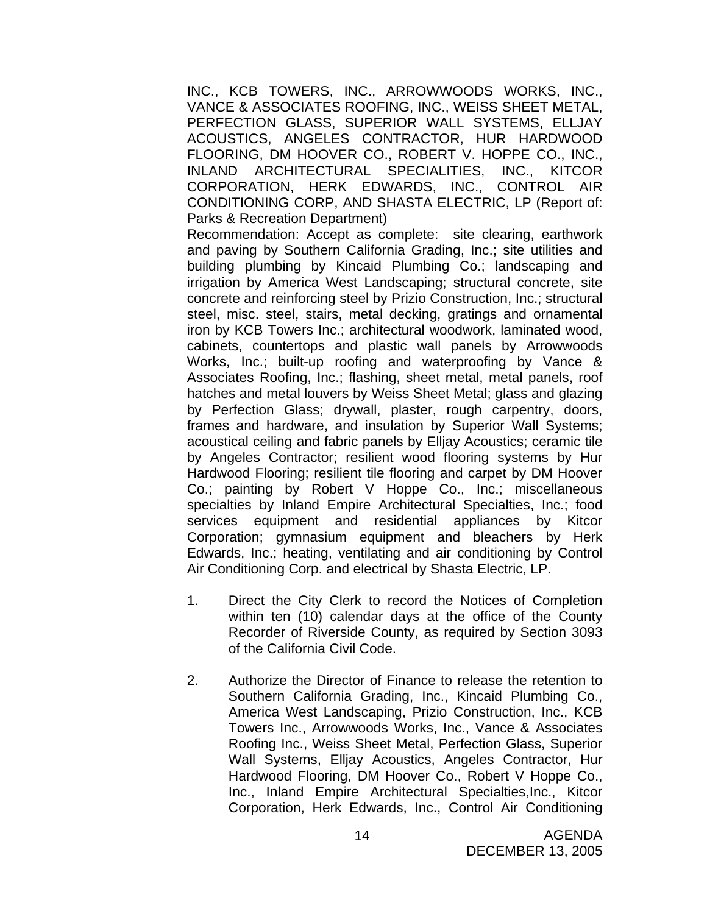INC., KCB TOWERS, INC., ARROWWOODS WORKS, INC., VANCE & ASSOCIATES ROOFING, INC., WEISS SHEET METAL, PERFECTION GLASS, SUPERIOR WALL SYSTEMS, ELLJAY ACOUSTICS, ANGELES CONTRACTOR, HUR HARDWOOD FLOORING, DM HOOVER CO., ROBERT V. HOPPE CO., INC., INLAND ARCHITECTURAL SPECIALITIES, INC., KITCOR CORPORATION, HERK EDWARDS, INC., CONTROL AIR CONDITIONING CORP, AND SHASTA ELECTRIC, LP (Report of: Parks & Recreation Department)

 Recommendation: Accept as complete: site clearing, earthwork and paving by Southern California Grading, Inc.; site utilities and building plumbing by Kincaid Plumbing Co.; landscaping and irrigation by America West Landscaping; structural concrete, site concrete and reinforcing steel by Prizio Construction, Inc.; structural steel, misc. steel, stairs, metal decking, gratings and ornamental iron by KCB Towers Inc.; architectural woodwork, laminated wood, cabinets, countertops and plastic wall panels by Arrowwoods Works, Inc.; built-up roofing and waterproofing by Vance & Associates Roofing, Inc.; flashing, sheet metal, metal panels, roof hatches and metal louvers by Weiss Sheet Metal; glass and glazing by Perfection Glass; drywall, plaster, rough carpentry, doors, frames and hardware, and insulation by Superior Wall Systems; acoustical ceiling and fabric panels by Elljay Acoustics; ceramic tile by Angeles Contractor; resilient wood flooring systems by Hur Hardwood Flooring; resilient tile flooring and carpet by DM Hoover Co.; painting by Robert V Hoppe Co., Inc.; miscellaneous specialties by Inland Empire Architectural Specialties, Inc.; food services equipment and residential appliances by Kitcor Corporation; gymnasium equipment and bleachers by Herk Edwards, Inc.; heating, ventilating and air conditioning by Control Air Conditioning Corp. and electrical by Shasta Electric, LP.

- 1. Direct the City Clerk to record the Notices of Completion within ten (10) calendar days at the office of the County Recorder of Riverside County, as required by Section 3093 of the California Civil Code.
- 2. Authorize the Director of Finance to release the retention to Southern California Grading, Inc., Kincaid Plumbing Co., America West Landscaping, Prizio Construction, Inc., KCB Towers Inc., Arrowwoods Works, Inc., Vance & Associates Roofing Inc., Weiss Sheet Metal, Perfection Glass, Superior Wall Systems, Elljay Acoustics, Angeles Contractor, Hur Hardwood Flooring, DM Hoover Co., Robert V Hoppe Co., Inc., Inland Empire Architectural Specialties,Inc., Kitcor Corporation, Herk Edwards, Inc., Control Air Conditioning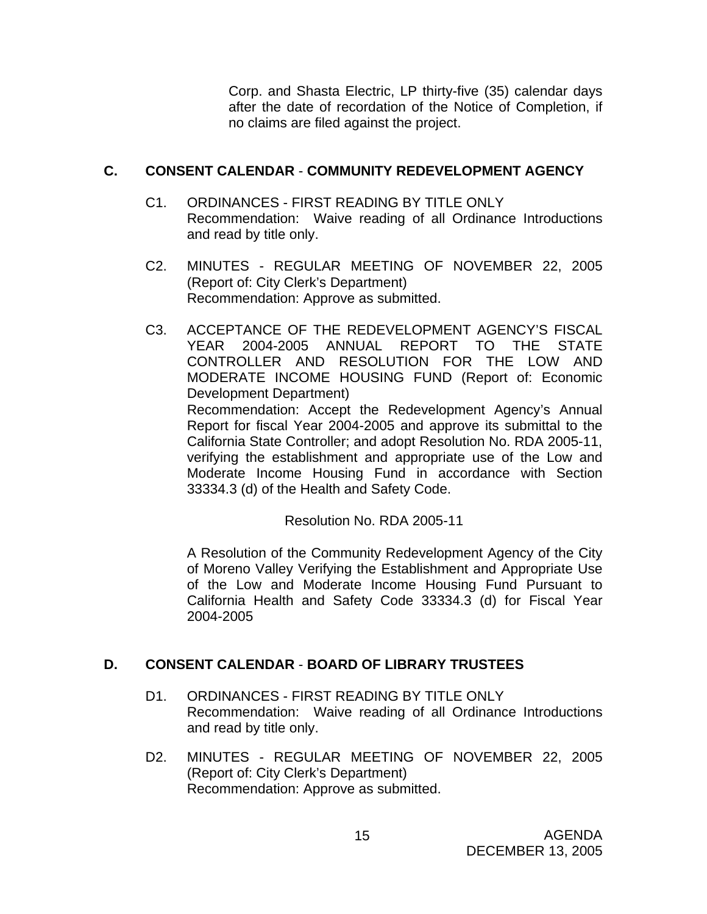Corp. and Shasta Electric, LP thirty-five (35) calendar days after the date of recordation of the Notice of Completion, if no claims are filed against the project.

# **C. CONSENT CALENDAR** - **COMMUNITY REDEVELOPMENT AGENCY**

- C1. ORDINANCES FIRST READING BY TITLE ONLY Recommendation: Waive reading of all Ordinance Introductions and read by title only.
- C2. MINUTES REGULAR MEETING OF NOVEMBER 22, 2005 (Report of: City Clerk's Department) Recommendation: Approve as submitted.
- C3. ACCEPTANCE OF THE REDEVELOPMENT AGENCY'S FISCAL YEAR 2004-2005 ANNUAL REPORT TO THE STATE CONTROLLER AND RESOLUTION FOR THE LOW AND MODERATE INCOME HOUSING FUND (Report of: Economic Development Department) Recommendation: Accept the Redevelopment Agency's Annual Report for fiscal Year 2004-2005 and approve its submittal to the California State Controller; and adopt Resolution No. RDA 2005-11, verifying the establishment and appropriate use of the Low and Moderate Income Housing Fund in accordance with Section 33334.3 (d) of the Health and Safety Code.

Resolution No. RDA 2005-11

A Resolution of the Community Redevelopment Agency of the City of Moreno Valley Verifying the Establishment and Appropriate Use of the Low and Moderate Income Housing Fund Pursuant to California Health and Safety Code 33334.3 (d) for Fiscal Year 2004-2005

# **D. CONSENT CALENDAR** - **BOARD OF LIBRARY TRUSTEES**

- D1. ORDINANCES FIRST READING BY TITLE ONLY Recommendation: Waive reading of all Ordinance Introductions and read by title only.
- D2. MINUTES REGULAR MEETING OF NOVEMBER 22, 2005 (Report of: City Clerk's Department) Recommendation: Approve as submitted.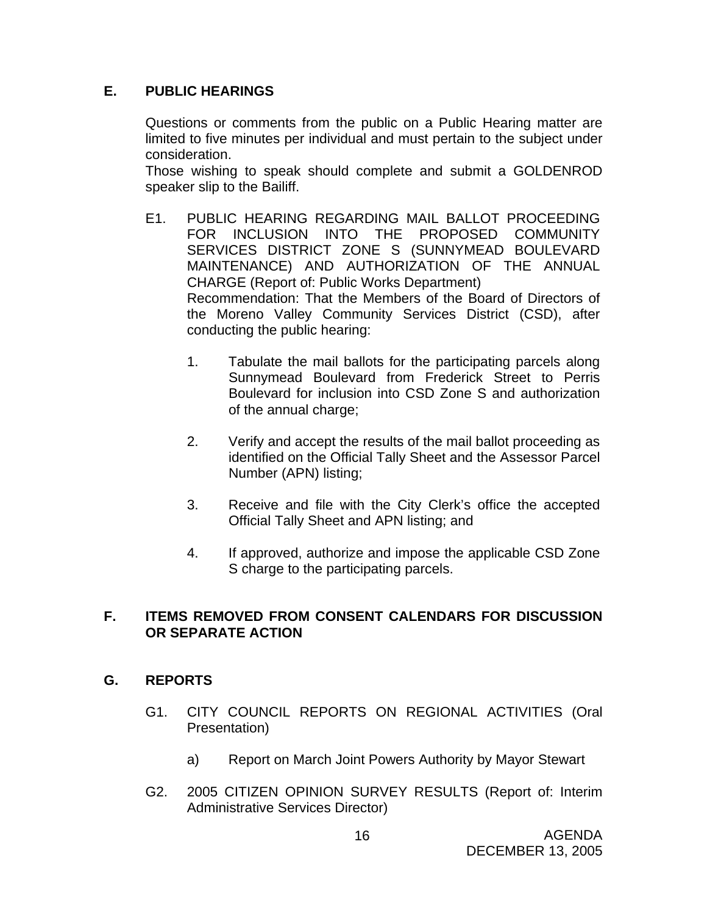# **E. PUBLIC HEARINGS**

Questions or comments from the public on a Public Hearing matter are limited to five minutes per individual and must pertain to the subject under consideration.

 Those wishing to speak should complete and submit a GOLDENROD speaker slip to the Bailiff.

- E1. PUBLIC HEARING REGARDING MAIL BALLOT PROCEEDING FOR INCLUSION INTO THE PROPOSED COMMUNITY SERVICES DISTRICT ZONE S (SUNNYMEAD BOULEVARD MAINTENANCE) AND AUTHORIZATION OF THE ANNUAL CHARGE (Report of: Public Works Department) Recommendation: That the Members of the Board of Directors of the Moreno Valley Community Services District (CSD), after conducting the public hearing:
	- 1. Tabulate the mail ballots for the participating parcels along Sunnymead Boulevard from Frederick Street to Perris Boulevard for inclusion into CSD Zone S and authorization of the annual charge;
	- 2. Verify and accept the results of the mail ballot proceeding as identified on the Official Tally Sheet and the Assessor Parcel Number (APN) listing;
	- 3. Receive and file with the City Clerk's office the accepted Official Tally Sheet and APN listing; and
	- 4. If approved, authorize and impose the applicable CSD Zone S charge to the participating parcels.

## **F. ITEMS REMOVED FROM CONSENT CALENDARS FOR DISCUSSION OR SEPARATE ACTION**

# **G. REPORTS**

- G1. CITY COUNCIL REPORTS ON REGIONAL ACTIVITIES (Oral Presentation)
	- a) Report on March Joint Powers Authority by Mayor Stewart
- G2. 2005 CITIZEN OPINION SURVEY RESULTS (Report of: Interim Administrative Services Director)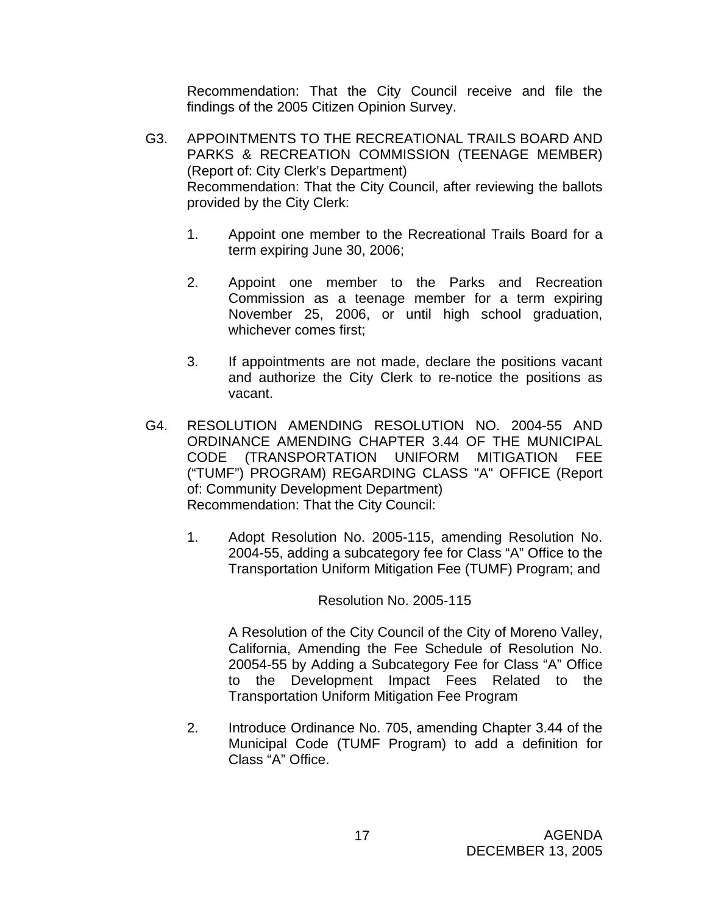Recommendation: That the City Council receive and file the findings of the 2005 Citizen Opinion Survey.

- G3. APPOINTMENTS TO THE RECREATIONAL TRAILS BOARD AND PARKS & RECREATION COMMISSION (TEENAGE MEMBER) (Report of: City Clerk's Department) Recommendation: That the City Council, after reviewing the ballots provided by the City Clerk:
	- 1. Appoint one member to the Recreational Trails Board for a term expiring June 30, 2006;
	- 2. Appoint one member to the Parks and Recreation Commission as a teenage member for a term expiring November 25, 2006, or until high school graduation, whichever comes first;
	- 3. If appointments are not made, declare the positions vacant and authorize the City Clerk to re-notice the positions as vacant.
- G4. RESOLUTION AMENDING RESOLUTION NO. 2004-55 AND ORDINANCE AMENDING CHAPTER 3.44 OF THE MUNICIPAL CODE (TRANSPORTATION UNIFORM MITIGATION FEE ("TUMF") PROGRAM) REGARDING CLASS "A" OFFICE (Report of: Community Development Department) Recommendation: That the City Council:
	- 1. Adopt Resolution No. 2005-115, amending Resolution No. 2004-55, adding a subcategory fee for Class "A" Office to the Transportation Uniform Mitigation Fee (TUMF) Program; and

Resolution No. 2005-115

A Resolution of the City Council of the City of Moreno Valley, California, Amending the Fee Schedule of Resolution No. 20054-55 by Adding a Subcategory Fee for Class "A" Office to the Development Impact Fees Related to the Transportation Uniform Mitigation Fee Program

2. Introduce Ordinance No. 705, amending Chapter 3.44 of the Municipal Code (TUMF Program) to add a definition for Class "A" Office.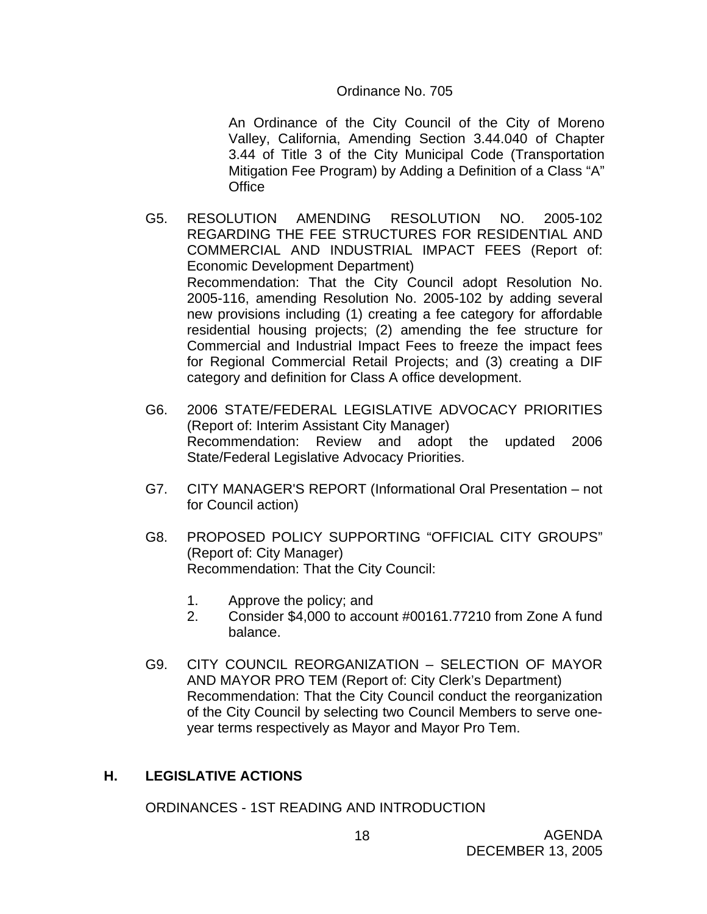### Ordinance No. 705

An Ordinance of the City Council of the City of Moreno Valley, California, Amending Section 3.44.040 of Chapter 3.44 of Title 3 of the City Municipal Code (Transportation Mitigation Fee Program) by Adding a Definition of a Class "A" **Office** 

- G5. RESOLUTION AMENDING RESOLUTION NO. 2005-102 REGARDING THE FEE STRUCTURES FOR RESIDENTIAL AND COMMERCIAL AND INDUSTRIAL IMPACT FEES (Report of: Economic Development Department) Recommendation: That the City Council adopt Resolution No. 2005-116, amending Resolution No. 2005-102 by adding several new provisions including (1) creating a fee category for affordable residential housing projects; (2) amending the fee structure for Commercial and Industrial Impact Fees to freeze the impact fees for Regional Commercial Retail Projects; and (3) creating a DIF category and definition for Class A office development.
- G6. 2006 STATE/FEDERAL LEGISLATIVE ADVOCACY PRIORITIES (Report of: Interim Assistant City Manager) Recommendation: Review and adopt the updated 2006 State/Federal Legislative Advocacy Priorities.
- G7. CITY MANAGER'S REPORT (Informational Oral Presentation not for Council action)
- G8. PROPOSED POLICY SUPPORTING "OFFICIAL CITY GROUPS" (Report of: City Manager) Recommendation: That the City Council:
	- 1. Approve the policy; and
	- 2. Consider \$4,000 to account #00161.77210 from Zone A fund balance.
- G9. CITY COUNCIL REORGANIZATION SELECTION OF MAYOR AND MAYOR PRO TEM (Report of: City Clerk's Department) Recommendation: That the City Council conduct the reorganization of the City Council by selecting two Council Members to serve oneyear terms respectively as Mayor and Mayor Pro Tem.

# **H. LEGISLATIVE ACTIONS**

ORDINANCES - 1ST READING AND INTRODUCTION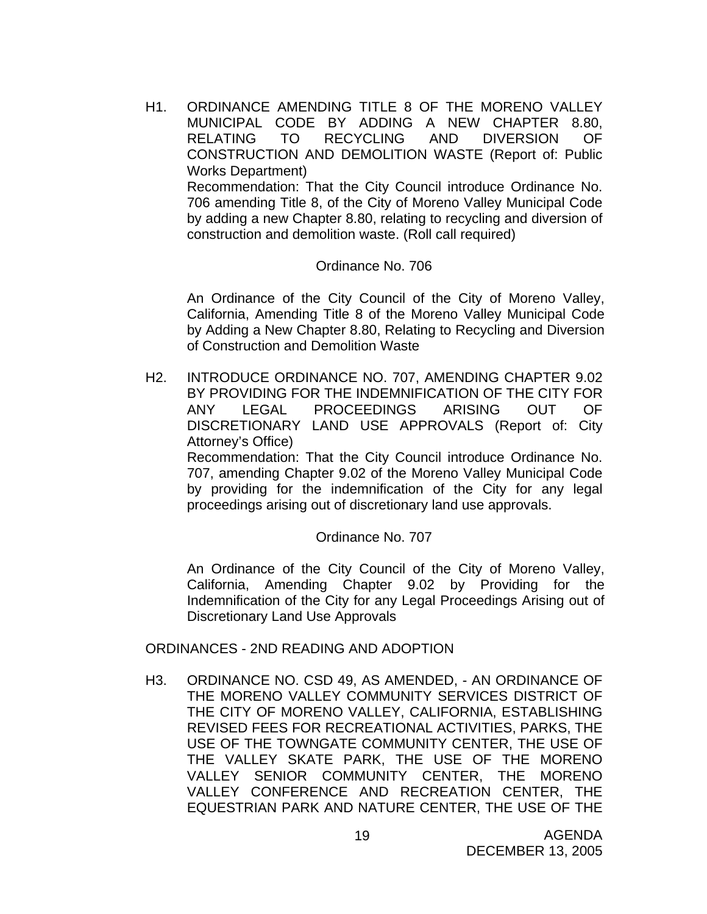H1. ORDINANCE AMENDING TITLE 8 OF THE MORENO VALLEY MUNICIPAL CODE BY ADDING A NEW CHAPTER 8.80, RELATING TO RECYCLING AND DIVERSION OF CONSTRUCTION AND DEMOLITION WASTE (Report of: Public Works Department) Recommendation: That the City Council introduce Ordinance No. 706 amending Title 8, of the City of Moreno Valley Municipal Code by adding a new Chapter 8.80, relating to recycling and diversion of

construction and demolition waste. (Roll call required)

### Ordinance No. 706

An Ordinance of the City Council of the City of Moreno Valley, California, Amending Title 8 of the Moreno Valley Municipal Code by Adding a New Chapter 8.80, Relating to Recycling and Diversion of Construction and Demolition Waste

H2. INTRODUCE ORDINANCE NO. 707, AMENDING CHAPTER 9.02 BY PROVIDING FOR THE INDEMNIFICATION OF THE CITY FOR ANY LEGAL PROCEEDINGS ARISING OUT OF DISCRETIONARY LAND USE APPROVALS (Report of: City Attorney's Office)

 Recommendation: That the City Council introduce Ordinance No. 707, amending Chapter 9.02 of the Moreno Valley Municipal Code by providing for the indemnification of the City for any legal proceedings arising out of discretionary land use approvals.

### Ordinance No. 707

 An Ordinance of the City Council of the City of Moreno Valley, California, Amending Chapter 9.02 by Providing for the Indemnification of the City for any Legal Proceedings Arising out of Discretionary Land Use Approvals

ORDINANCES - 2ND READING AND ADOPTION

H3. ORDINANCE NO. CSD 49, AS AMENDED, - AN ORDINANCE OF THE MORENO VALLEY COMMUNITY SERVICES DISTRICT OF THE CITY OF MORENO VALLEY, CALIFORNIA, ESTABLISHING REVISED FEES FOR RECREATIONAL ACTIVITIES, PARKS, THE USE OF THE TOWNGATE COMMUNITY CENTER, THE USE OF THE VALLEY SKATE PARK, THE USE OF THE MORENO VALLEY SENIOR COMMUNITY CENTER, THE MORENO VALLEY CONFERENCE AND RECREATION CENTER, THE EQUESTRIAN PARK AND NATURE CENTER, THE USE OF THE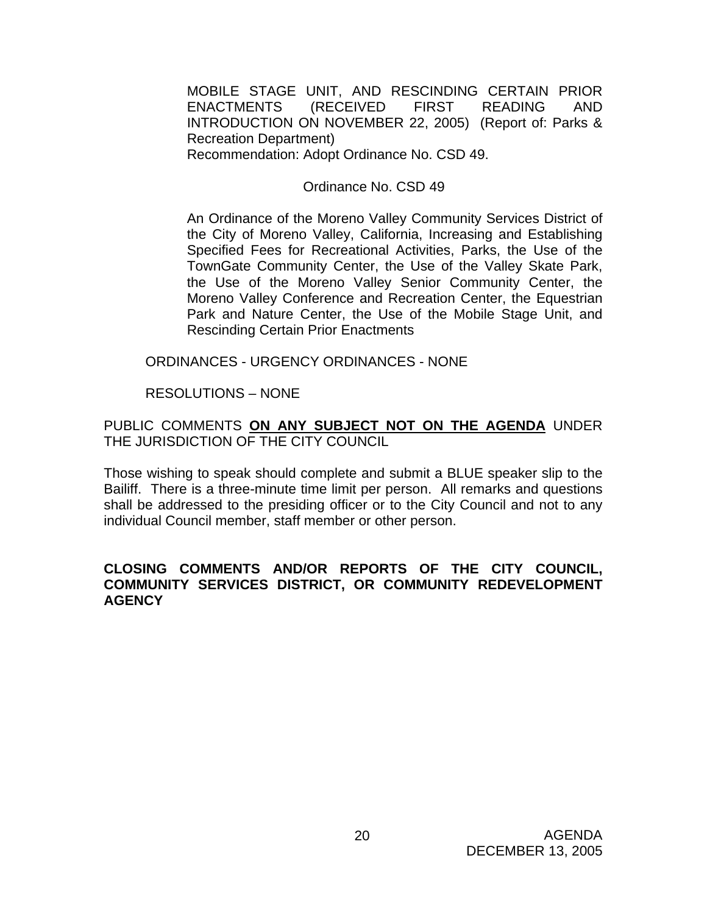MOBILE STAGE UNIT, AND RESCINDING CERTAIN PRIOR ENACTMENTS (RECEIVED FIRST READING AND INTRODUCTION ON NOVEMBER 22, 2005) (Report of: Parks & Recreation Department) Recommendation: Adopt Ordinance No. CSD 49.

### Ordinance No. CSD 49

An Ordinance of the Moreno Valley Community Services District of the City of Moreno Valley, California, Increasing and Establishing Specified Fees for Recreational Activities, Parks, the Use of the TownGate Community Center, the Use of the Valley Skate Park, the Use of the Moreno Valley Senior Community Center, the Moreno Valley Conference and Recreation Center, the Equestrian Park and Nature Center, the Use of the Mobile Stage Unit, and Rescinding Certain Prior Enactments

ORDINANCES - URGENCY ORDINANCES - NONE

RESOLUTIONS – NONE

PUBLIC COMMENTS **ON ANY SUBJECT NOT ON THE AGENDA** UNDER THE JURISDICTION OF THE CITY COUNCIL

Those wishing to speak should complete and submit a BLUE speaker slip to the Bailiff. There is a three-minute time limit per person. All remarks and questions shall be addressed to the presiding officer or to the City Council and not to any individual Council member, staff member or other person.

### **CLOSING COMMENTS AND/OR REPORTS OF THE CITY COUNCIL, COMMUNITY SERVICES DISTRICT, OR COMMUNITY REDEVELOPMENT AGENCY**